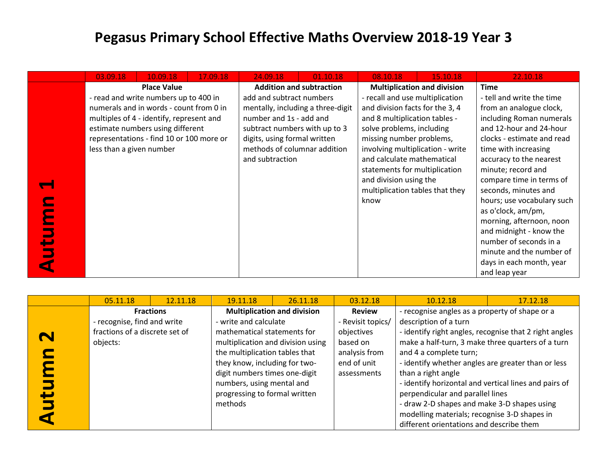## **Pegasus Primary School Effective Maths Overview 2018-19 Year 3**

|  | 03.09.18                              | 10.09.18                                 | 17.09.18 | 24.09.18                                                                                      | 01.10.18                        | 08.10.18                           | 15.10.18                   | 22.10.18                   |
|--|---------------------------------------|------------------------------------------|----------|-----------------------------------------------------------------------------------------------|---------------------------------|------------------------------------|----------------------------|----------------------------|
|  | <b>Place Value</b>                    |                                          |          | <b>Addition and subtraction</b>                                                               |                                 | <b>Multiplication and division</b> |                            | <b>Time</b>                |
|  | - read and write numbers up to 400 in |                                          |          | add and subtract numbers                                                                      |                                 | - recall and use multiplication    |                            | - tell and write the time  |
|  |                                       | numerals and in words - count from 0 in  |          | mentally, including a three-digit<br>number and 1s - add and<br>subtract numbers with up to 3 |                                 | and division facts for the 3, 4    |                            | from an analogue clock,    |
|  |                                       | multiples of 4 - identify, represent and |          |                                                                                               |                                 | and 8 multiplication tables -      |                            | including Roman numerals   |
|  |                                       | estimate numbers using different         |          |                                                                                               |                                 | solve problems, including          |                            | and 12-hour and 24-hour    |
|  |                                       | representations - find 10 or 100 more or |          | digits, using formal written                                                                  |                                 | missing number problems,           |                            | clocks - estimate and read |
|  | less than a given number              |                                          |          | methods of columnar addition                                                                  |                                 | involving multiplication - write   |                            | time with increasing       |
|  |                                       |                                          |          | and subtraction                                                                               |                                 | and calculate mathematical         |                            | accuracy to the nearest    |
|  |                                       |                                          |          |                                                                                               |                                 | statements for multiplication      |                            | minute; record and         |
|  |                                       |                                          |          |                                                                                               | and division using the          |                                    | compare time in terms of   |                            |
|  |                                       |                                          |          |                                                                                               | multiplication tables that they |                                    | seconds, minutes and       |                            |
|  |                                       |                                          |          |                                                                                               | know                            |                                    | hours; use vocabulary such |                            |
|  |                                       |                                          |          |                                                                                               |                                 |                                    |                            | as o'clock, am/pm,         |
|  |                                       |                                          |          |                                                                                               |                                 |                                    |                            | morning, afternoon, noon   |
|  |                                       |                                          |          |                                                                                               |                                 |                                    |                            | and midnight - know the    |
|  |                                       |                                          |          |                                                                                               |                                 |                                    | number of seconds in a     |                            |
|  |                                       |                                          |          |                                                                                               |                                 |                                    | minute and the number of   |                            |
|  |                                       |                                          |          |                                                                                               |                                 |                                    |                            | days in each month, year   |
|  |                                       |                                          |          |                                                                                               |                                 |                                    |                            | and leap year              |

|                | 05.11.18                       | 12.11.18 | 19.11.18                           | 26.11.18 | 03.12.18          | 10.12.18                                               | 17.12.18 |  |
|----------------|--------------------------------|----------|------------------------------------|----------|-------------------|--------------------------------------------------------|----------|--|
|                | <b>Fractions</b>               |          | <b>Multiplication and division</b> |          | <b>Review</b>     | - recognise angles as a property of shape or a         |          |  |
|                | - recognise, find and write    |          | - write and calculate              |          | - Revisit topics/ | description of a turn                                  |          |  |
| $\blacksquare$ | fractions of a discrete set of |          | mathematical statements for        |          | objectives        | - identify right angles, recognise that 2 right angles |          |  |
|                | objects:                       |          | multiplication and division using  |          | based on          | make a half-turn, 3 make three quarters of a turn      |          |  |
|                |                                |          | the multiplication tables that     |          | analysis from     | and 4 a complete turn;                                 |          |  |
|                |                                |          | they know, including for two-      |          | end of unit       | - identify whether angles are greater than or less     |          |  |
|                |                                |          | digit numbers times one-digit      |          | assessments       | than a right angle                                     |          |  |
|                |                                |          | numbers, using mental and          |          |                   | - identify horizontal and vertical lines and pairs of  |          |  |
| P              |                                |          | progressing to formal written      |          |                   | perpendicular and parallel lines                       |          |  |
|                |                                |          | methods                            |          |                   | - draw 2-D shapes and make 3-D shapes using            |          |  |
|                |                                |          |                                    |          |                   | modelling materials; recognise 3-D shapes in           |          |  |
|                |                                |          |                                    |          |                   | different orientations and describe them               |          |  |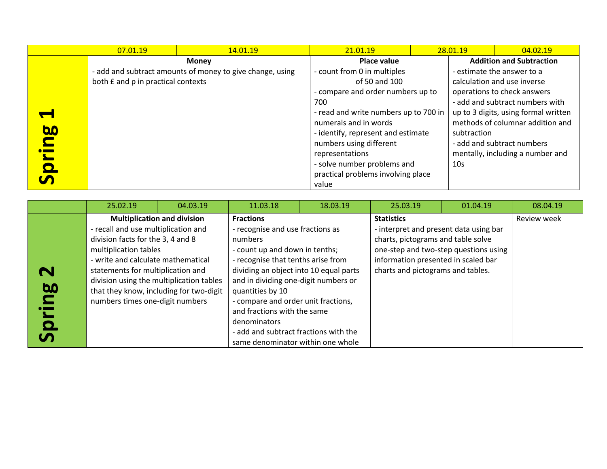|                         | 07.01.19                                                  | 14.01.19    | 21.01.19                              | 28.01.19 |                                      | 04.02.19                         |  |
|-------------------------|-----------------------------------------------------------|-------------|---------------------------------------|----------|--------------------------------------|----------------------------------|--|
|                         |                                                           | Place value |                                       |          | <b>Addition and Subtraction</b>      |                                  |  |
|                         | - add and subtract amounts of money to give change, using |             | - count from 0 in multiples           |          |                                      | - estimate the answer to a       |  |
|                         | both £ and p in practical contexts                        |             | of 50 and 100                         |          |                                      | calculation and use inverse      |  |
|                         |                                                           |             | - compare and order numbers up to     |          |                                      | operations to check answers      |  |
|                         |                                                           |             | 700                                   |          | - add and subtract numbers with      |                                  |  |
|                         |                                                           |             | - read and write numbers up to 700 in |          | up to 3 digits, using formal written |                                  |  |
|                         |                                                           |             | numerals and in words                 |          |                                      | methods of columnar addition and |  |
| <b>bo</b>               |                                                           |             | - identify, represent and estimate    |          | subtraction                          |                                  |  |
| $\overline{\mathbf{S}}$ |                                                           |             | numbers using different               |          |                                      | - add and subtract numbers       |  |
|                         |                                                           |             | representations                       |          | mentally, including a number and     |                                  |  |
|                         |                                                           |             | - solve number problems and           |          | 10 <sub>s</sub>                      |                                  |  |
|                         |                                                           |             | practical problems involving place    |          |                                      |                                  |  |
|                         |                                                           |             | value                                 |          |                                      |                                  |  |

|                                                   | 25.02.19                                                                                                                                                                                                                                                                                               | 04.03.19                           | 11.03.18                                                                                                                                                                                                                                                                                                                                                                                                          | 18.03.19 | 25.03.19                                                                                                                                                                                                               | 01.04.19 | 08.04.19    |
|---------------------------------------------------|--------------------------------------------------------------------------------------------------------------------------------------------------------------------------------------------------------------------------------------------------------------------------------------------------------|------------------------------------|-------------------------------------------------------------------------------------------------------------------------------------------------------------------------------------------------------------------------------------------------------------------------------------------------------------------------------------------------------------------------------------------------------------------|----------|------------------------------------------------------------------------------------------------------------------------------------------------------------------------------------------------------------------------|----------|-------------|
| N<br>60<br>$\blacksquare$<br><u>O</u><br><b>S</b> | - recall and use multiplication and<br>division facts for the 3, 4 and 8<br>multiplication tables<br>- write and calculate mathematical<br>statements for multiplication and<br>division using the multiplication tables<br>that they know, including for two-digit<br>numbers times one-digit numbers | <b>Multiplication and division</b> | <b>Fractions</b><br>- recognise and use fractions as<br>numbers<br>- count up and down in tenths;<br>- recognise that tenths arise from<br>dividing an object into 10 equal parts<br>and in dividing one-digit numbers or<br>quantities by 10<br>- compare and order unit fractions,<br>and fractions with the same<br>denominators<br>- add and subtract fractions with the<br>same denominator within one whole |          | <b>Statistics</b><br>- interpret and present data using bar<br>charts, pictograms and table solve<br>one-step and two-step questions using<br>information presented in scaled bar<br>charts and pictograms and tables. |          | Review week |